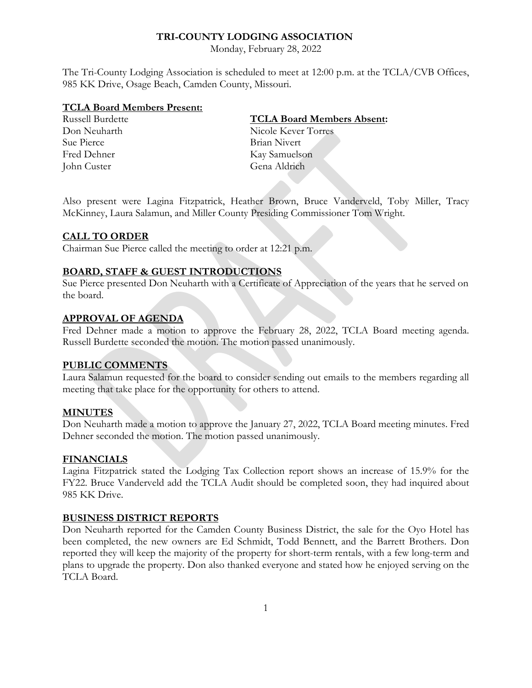# **TRI-COUNTY LODGING ASSOCIATION**

Monday, February 28, 2022

The Tri-County Lodging Association is scheduled to meet at 12:00 p.m. at the TCLA/CVB Offices, 985 KK Drive, Osage Beach, Camden County, Missouri.

#### **TCLA Board Members Present:**

Sue Pierce Brian Nivert Fred Dehner Kay Samuelson John Custer Gena Aldrich

## Russell Burdette **TCLA Board Members Absent:**

Don Neuharth Nicole Kever Torres

Also present were Lagina Fitzpatrick, Heather Brown, Bruce Vanderveld, Toby Miller, Tracy McKinney, Laura Salamun, and Miller County Presiding Commissioner Tom Wright.

### **CALL TO ORDER**

Chairman Sue Pierce called the meeting to order at 12:21 p.m.

### **BOARD, STAFF & GUEST INTRODUCTIONS**

Sue Pierce presented Don Neuharth with a Certificate of Appreciation of the years that he served on the board.

## **APPROVAL OF AGENDA**

Fred Dehner made a motion to approve the February 28, 2022, TCLA Board meeting agenda. Russell Burdette seconded the motion. The motion passed unanimously.

#### **PUBLIC COMMENTS**

Laura Salamun requested for the board to consider sending out emails to the members regarding all meeting that take place for the opportunity for others to attend.

#### **MINUTES**

Don Neuharth made a motion to approve the January 27, 2022, TCLA Board meeting minutes. Fred Dehner seconded the motion. The motion passed unanimously.

### **FINANCIALS**

Lagina Fitzpatrick stated the Lodging Tax Collection report shows an increase of 15.9% for the FY22. Bruce Vanderveld add the TCLA Audit should be completed soon, they had inquired about 985 KK Drive.

# **BUSINESS DISTRICT REPORTS**

Don Neuharth reported for the Camden County Business District, the sale for the Oyo Hotel has been completed, the new owners are Ed Schmidt, Todd Bennett, and the Barrett Brothers. Don reported they will keep the majority of the property for short-term rentals, with a few long-term and plans to upgrade the property. Don also thanked everyone and stated how he enjoyed serving on the TCLA Board.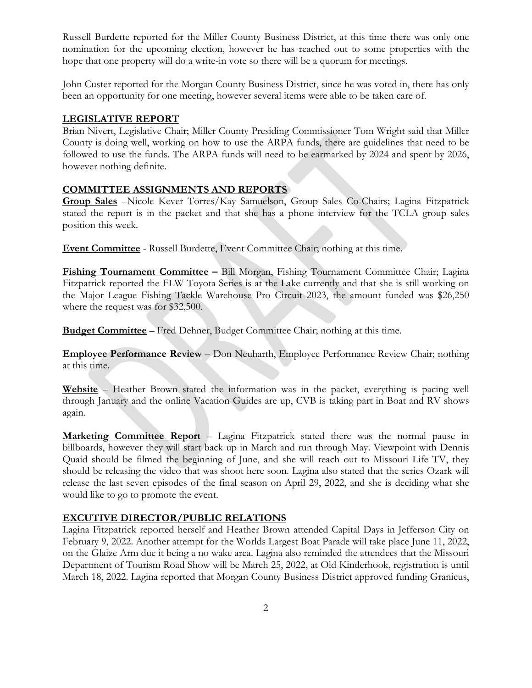Russell Burdette reported for the Miller County Business District, at this time there was only one nomination for the upcoming election, however he has reached out to some properties with the hope that one property will do a write-in vote so there will be a quorum for meetings.

John Custer reported for the Morgan County Business District, since he was voted in, there has only been an opportunity for one meeting, however several items were able to be taken care of.

# **LEGISLATIVE REPORT**

Brian Nivert, Legislative Chair; Miller County Presiding Commissioner Tom Wright said that Miller County is doing well, working on how to use the ARPA funds, there are guidelines that need to be followed to use the funds. The ARPA funds will need to be earmarked by 2024 and spent by 2026, however nothing definite.

# **COMMITTEE ASSIGNMENTS AND REPORTS**

**Group Sales** –Nicole Kever Torres/Kay Samuelson, Group Sales Co-Chairs; Lagina Fitzpatrick stated the report is in the packet and that she has a phone interview for the TCLA group sales position this week.

**Event Committee** - Russell Burdette, Event Committee Chair; nothing at this time.

**Fishing Tournament Committee –** Bill Morgan, Fishing Tournament Committee Chair; Lagina Fitzpatrick reported the FLW Toyota Series is at the Lake currently and that she is still working on the Major League Fishing Tackle Warehouse Pro Circuit 2023, the amount funded was \$26,250 where the request was for \$32,500.

**Budget Committee** – Fred Dehner, Budget Committee Chair; nothing at this time.

**Employee Performance Review** – Don Neuharth, Employee Performance Review Chair; nothing at this time.

**Website** – Heather Brown stated the information was in the packet, everything is pacing well through January and the online Vacation Guides are up, CVB is taking part in Boat and RV shows again.

**Marketing Committee Report** – Lagina Fitzpatrick stated there was the normal pause in billboards, however they will start back up in March and run through May. Viewpoint with Dennis Quaid should be filmed the beginning of June, and she will reach out to Missouri Life TV, they should be releasing the video that was shoot here soon. Lagina also stated that the series Ozark will release the last seven episodes of the final season on April 29, 2022, and she is deciding what she would like to go to promote the event.

# **EXCUTIVE DIRECTOR/PUBLIC RELATIONS**

Lagina Fitzpatrick reported herself and Heather Brown attended Capital Days in Jefferson City on February 9, 2022. Another attempt for the Worlds Largest Boat Parade will take place June 11, 2022, on the Glaize Arm due it being a no wake area. Lagina also reminded the attendees that the Missouri Department of Tourism Road Show will be March 25, 2022, at Old Kinderhook, registration is until March 18, 2022. Lagina reported that Morgan County Business District approved funding Granicus,